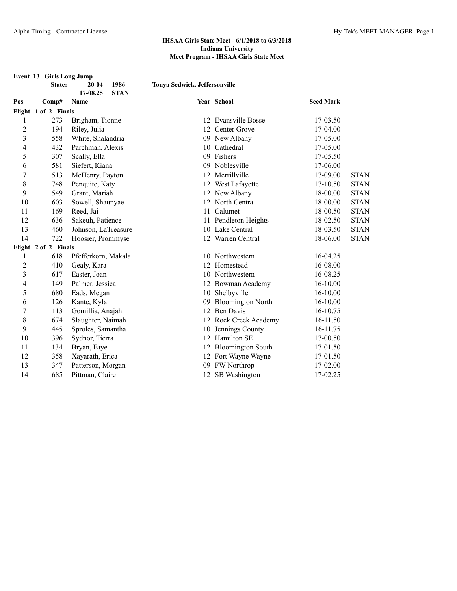**Event 13 Girls Long Jump**

|                | State:               | 1986<br>$20 - 04$       | Tonya Sedwick, Jeffersonville |                          |                  |             |
|----------------|----------------------|-------------------------|-------------------------------|--------------------------|------------------|-------------|
|                |                      | 17-08.25<br><b>STAN</b> |                               |                          |                  |             |
| Pos            | Comp#                | Name                    |                               | Year School              | <b>Seed Mark</b> |             |
|                | Flight 1 of 2 Finals |                         |                               |                          |                  |             |
|                | 273                  | Brigham, Tionne         |                               | 12 Evansville Bosse      | 17-03.50         |             |
| $\overline{c}$ | 194                  | Riley, Julia            |                               | 12 Center Grove          | 17-04.00         |             |
| 3              | 558                  | White, Shalandria       |                               | 09 New Albany            | 17-05.00         |             |
| 4              | 432                  | Parchman, Alexis        |                               | 10 Cathedral             | 17-05.00         |             |
| 5              | 307                  | Scally, Ella            |                               | 09 Fishers               | 17-05.50         |             |
| 6              | 581                  | Siefert, Kiana          | 09                            | Noblesville              | 17-06.00         |             |
| 7              | 513                  | McHenry, Payton         |                               | 12 Merrillville          | 17-09.00         | <b>STAN</b> |
| 8              | 748                  | Penquite, Katy          |                               | 12 West Lafayette        | 17-10.50         | <b>STAN</b> |
| 9              | 549                  | Grant, Mariah           |                               | 12 New Albany            | 18-00.00         | <b>STAN</b> |
| 10             | 603                  | Sowell, Shaunyae        |                               | 12 North Centra          | 18-00.00         | <b>STAN</b> |
| 11             | 169                  | Reed, Jai               |                               | 11 Calumet               | 18-00.50         | <b>STAN</b> |
| 12             | 636                  | Sakeuh, Patience        |                               | 11 Pendleton Heights     | 18-02.50         | <b>STAN</b> |
| 13             | 460                  | Johnson, LaTreasure     |                               | 10 Lake Central          | 18-03.50         | <b>STAN</b> |
| 14             | 722                  | Hoosier, Prommyse       |                               | 12 Warren Central        | 18-06.00         | <b>STAN</b> |
|                | Flight 2 of 2 Finals |                         |                               |                          |                  |             |
| 1              | 618                  | Pfefferkorn, Makala     |                               | 10 Northwestern          | 16-04.25         |             |
| $\overline{2}$ | 410                  | Gealy, Kara             |                               | 12 Homestead             | 16-08.00         |             |
| 3              | 617                  | Easter, Joan            |                               | 10 Northwestern          | 16-08.25         |             |
| 4              | 149                  | Palmer, Jessica         |                               | 12 Bowman Academy        | $16 - 10.00$     |             |
| 5              | 680                  | Eads, Megan             |                               | 10 Shelbyville           | 16-10.00         |             |
| 6              | 126                  | Kante, Kyla             | 09                            | <b>Bloomington North</b> | 16-10.00         |             |
| 7              | 113                  | Gomillia, Anajah        | 12                            | <b>Ben Davis</b>         | 16-10.75         |             |
| 8              | 674                  | Slaughter, Naimah       |                               | 12 Rock Creek Academy    | 16-11.50         |             |
| 9              | 445                  | Sproles, Samantha       | 10                            | Jennings County          | 16-11.75         |             |
| 10             | 396                  | Sydnor, Tierra          | 12                            | Hamilton SE              | 17-00.50         |             |
| 11             | 134                  | Bryan, Faye             |                               | 12 Bloomington South     | 17-01.50         |             |
| 12             | 358                  | Xayarath, Erica         |                               | 12 Fort Wayne Wayne      | 17-01.50         |             |
| 13             | 347                  | Patterson, Morgan       |                               | 09 FW Northrop           | 17-02.00         |             |
| 14             | 685                  | Pittman, Claire         |                               | 12 SB Washington         | 17-02.25         |             |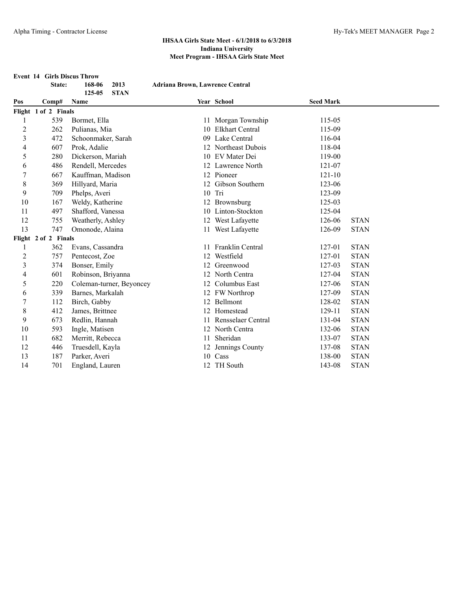|                | <b>Event 14 Girls Discus Throw</b> |                          |                                        |                        |                  |             |
|----------------|------------------------------------|--------------------------|----------------------------------------|------------------------|------------------|-------------|
|                | State:                             | 168-06<br>2013           | <b>Adriana Brown, Lawrence Central</b> |                        |                  |             |
|                |                                    | 125-05<br><b>STAN</b>    |                                        |                        |                  |             |
| Pos            | Comp#                              | Name                     |                                        | Year School            | <b>Seed Mark</b> |             |
|                | Flight 1 of 2 Finals               |                          |                                        |                        |                  |             |
| 1              | 539                                | Bormet, Ella             |                                        | 11 Morgan Township     | 115-05           |             |
| $\overline{c}$ | 262                                | Pulianas, Mia            | 10                                     | <b>Elkhart Central</b> | 115-09           |             |
| $\overline{3}$ | 472                                | Schoonmaker, Sarah       | 09                                     | Lake Central           | 116-04           |             |
| 4              | 607                                | Prok, Adalie             | 12                                     | Northeast Dubois       | 118-04           |             |
| 5              | 280                                | Dickerson, Mariah        |                                        | 10 EV Mater Dei        | 119-00           |             |
| 6              | 486                                | Rendell, Mercedes        |                                        | 12 Lawrence North      | 121-07           |             |
| 7              | 667                                | Kauffman, Madison        |                                        | 12 Pioneer             | $121 - 10$       |             |
| $\,$ $\,$      | 369                                | Hillyard, Maria          |                                        | 12 Gibson Southern     | 123-06           |             |
| 9              | 709                                | Phelps, Averi            |                                        | 10 Tri                 | 123-09           |             |
| 10             | 167                                | Weldy, Katherine         |                                        | 12 Brownsburg          | 125-03           |             |
| 11             | 497                                | Shafford, Vanessa        |                                        | 10 Linton-Stockton     | 125-04           |             |
| 12             | 755                                | Weatherly, Ashley        |                                        | 12 West Lafayette      | 126-06           | <b>STAN</b> |
| 13             | 747                                | Omonode, Alaina          |                                        | 11 West Lafayette      | 126-09           | <b>STAN</b> |
|                | Flight 2 of 2 Finals               |                          |                                        |                        |                  |             |
| 1              | 362                                | Evans, Cassandra         | 11                                     | Franklin Central       | 127-01           | <b>STAN</b> |
| $\overline{c}$ | 757                                | Pentecost, Zoe           | 12                                     | Westfield              | 127-01           | <b>STAN</b> |
| $\overline{3}$ | 374                                | Bonser, Emily            | 12                                     | Greenwood              | 127-03           | <b>STAN</b> |
| 4              | 601                                | Robinson, Briyanna       | 12                                     | North Centra           | 127-04           | <b>STAN</b> |
| 5              | 220                                | Coleman-turner, Beyoncey |                                        | 12 Columbus East       | 127-06           | <b>STAN</b> |
| 6              | 339                                | Barnes, Markalah         |                                        | 12 FW Northrop         | 127-09           | <b>STAN</b> |
| 7              | 112                                | Birch, Gabby             |                                        | 12 Bellmont            | 128-02           | <b>STAN</b> |
| 8              | 412                                | James, Brittnee          |                                        | 12 Homestead           | 129-11           | <b>STAN</b> |
| 9              | 673                                | Redlin, Hannah           |                                        | 11 Rensselaer Central  | 131-04           | <b>STAN</b> |
| 10             | 593                                | Ingle, Matisen           |                                        | 12 North Centra        | 132-06           | <b>STAN</b> |
| 11             | 682                                | Merritt, Rebecca         | 11                                     | Sheridan               | 133-07           | <b>STAN</b> |
| 12             | 446                                | Truesdell, Kayla         |                                        | 12 Jennings County     | 137-08           | <b>STAN</b> |
| 13             | 187                                | Parker, Averi            |                                        | 10 Cass                | 138-00           | <b>STAN</b> |
| 14             | 701                                | England, Lauren          |                                        | 12 TH South            | 143-08           | <b>STAN</b> |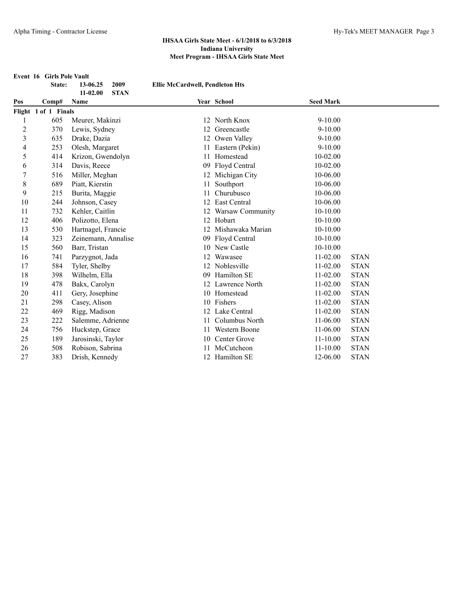**Event 16 Girls Pole Vault**

|                | State:                        | 13-06.25            | 2009        | <b>Ellie McCardwell, Pendleton Hts</b> |                     |                  |             |  |
|----------------|-------------------------------|---------------------|-------------|----------------------------------------|---------------------|------------------|-------------|--|
| Pos            |                               | $11 - 02.00$        | <b>STAN</b> |                                        |                     | <b>Seed Mark</b> |             |  |
|                | Comp#<br>Flight 1 of 1 Finals | Name                |             |                                        | Year School         |                  |             |  |
|                | 605                           | Meurer, Makinzi     |             | 12                                     | North Knox          | $9 - 10.00$      |             |  |
| $\overline{c}$ | 370                           | Lewis, Sydney       |             | 12                                     | Greencastle         | $9 - 10.00$      |             |  |
| 3              | 635                           | Drake, Dazia        |             | 12                                     | Owen Valley         | $9 - 10.00$      |             |  |
| 4              | 253                           | Olesh, Margaret     |             | 11                                     | Eastern (Pekin)     | $9 - 10.00$      |             |  |
| 5              | 414                           | Krizon, Gwendolyn   |             | 11                                     | Homestead           | $10 - 02.00$     |             |  |
| 6              | 314                           | Davis, Reece        |             | 09                                     | Floyd Central       | $10 - 02.00$     |             |  |
| 7              | 516                           | Miller, Meghan      |             |                                        | 12 Michigan City    | 10-06.00         |             |  |
| 8              | 689                           | Piatt, Kierstin     |             | 11                                     | Southport           | 10-06.00         |             |  |
| 9              | 215                           | Burita, Maggie      |             |                                        | Churubusco          | 10-06.00         |             |  |
| 10             | 244                           | Johnson, Casey      |             | 12                                     | East Central        | 10-06.00         |             |  |
| 11             | 732                           | Kehler, Caitlin     |             |                                        | Warsaw Community    | 10-10.00         |             |  |
| 12             | 406                           | Polizotto, Elena    |             |                                        | 12 Hobart           | $10-10.00$       |             |  |
| 13             | 530                           | Hartnagel, Francie  |             |                                        | 12 Mishawaka Marian | 10-10.00         |             |  |
| 14             | 323                           | Zeinemann, Annalise |             |                                        | 09 Floyd Central    | $10-10.00$       |             |  |
| 15             | 560                           | Barr, Tristan       |             |                                        | 10 New Castle       | $10-10.00$       |             |  |
| 16             | 741                           | Parzygnot, Jada     |             |                                        | Wawasee             | 11-02.00         | <b>STAN</b> |  |
| 17             | 584                           | Tyler, Shelby       |             |                                        | 12 Noblesville      | 11-02.00         | <b>STAN</b> |  |
| 18             | 398                           | Wilhelm, Ella       |             | 09                                     | Hamilton SE         | 11-02.00         | <b>STAN</b> |  |
| 19             | 478                           | Bakx, Carolyn       |             | 12                                     | Lawrence North      | $11 - 02.00$     | <b>STAN</b> |  |
| 20             | 411                           | Gery, Josephine     |             | 10                                     | Homestead           | $11 - 02.00$     | <b>STAN</b> |  |
| 21             | 298                           | Casey, Alison       |             |                                        | 10 Fishers          | 11-02.00         | <b>STAN</b> |  |
| 22             | 469                           | Rigg, Madison       |             | 12                                     | Lake Central        | 11-02.00         | <b>STAN</b> |  |
| 23             | 222                           | Salemme, Adrienne   |             | 11                                     | Columbus North      | 11-06.00         | <b>STAN</b> |  |
| 24             | 756                           | Huckstep, Grace     |             | 11                                     | Western Boone       | 11-06.00         | <b>STAN</b> |  |
| 25             | 189                           | Jarosinski, Taylor  |             | 10                                     | Center Grove        | $11 - 10.00$     | <b>STAN</b> |  |
| 26             | 508                           | Robison, Sabrina    |             |                                        | McCutcheon          | $11 - 10.00$     | <b>STAN</b> |  |
| 27             | 383                           | Drish, Kennedy      |             | 12                                     | Hamilton SE         | 12-06.00         | <b>STAN</b> |  |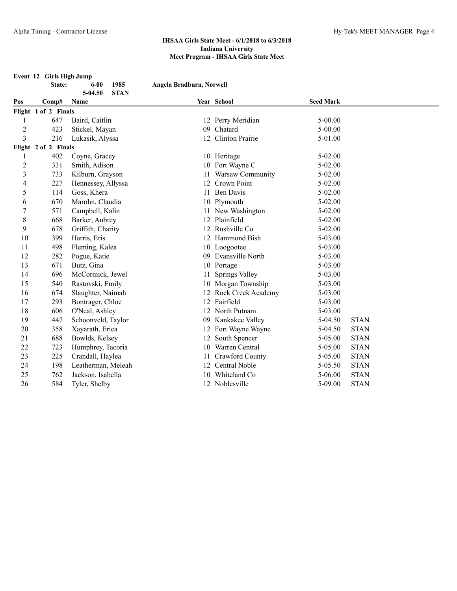**Event 12 Girls High Jump State: 6-00 1985 Angela Bradburn, Norwell 5-04.50 STAN Pos Comp# Name Year School Seed Mark Flight 1 of 2 Finals** 647 Baird, Caitlin 12 Perry Meridian 5-00.00 423 Stickel, Mayan 09 Chatard 5-00.00 216 Lukasik, Alyssa 12 Clinton Prairie 5-01.00 **Flight 2 of 2 Finals** 402 Coyne, Gracey 10 Heritage 5-02.00 2 331 Smith, Adison 10 Fort Wayne C 5-02.00 733 Kilburn, Grayson 11 Warsaw Community 5-02.00 227 Hennessey, Allyssa 12 Crown Point 5-02.00 5 114 Goss, Khera 11 Ben Davis 5-02.00 670 Marohn, Claudia 10 Plymouth 5-02.00 571 Campbell, Kalin 11 New Washington 5-02.00 668 Barker, Aubrey 12 Plainfield 5-02.00 678 Griffith, Charity 12 Rushville Co 5-02.00 399 Harris, Eris 12 Hammond Bish 5-03.00 498 Fleming, Kalea 10 Loogootee 5-03.00 282 Pogue, Katie 09 Evansville North 5-03.00 13 671 Butz, Gina 10 Portage 5-03.00 14 696 McCormick, Jewel 11 Springs Valley 5-03.00 540 Rastovski, Emily 10 Morgan Township 5-03.00 674 Slaughter, Naimah 12 Rock Creek Academy 5-03.00 17 293 Bontrager, Chloe 12 Fairfield 5-03.00 606 O'Neal, Ashley 12 North Putnam 5-03.00 447 Schoonveld, Taylor 09 Kankakee Valley 5-04.50 STAN 358 Xayarath, Erica 12 Fort Wayne Wayne 5-04.50 STAN 688 Bowlds, Kelsey 12 South Spencer 5-05.00 STAN 723 Humphrey, Tacoria 10 Warren Central 5-05.00 STAN 225 Crandall, Haylea 11 Crawford County 5-05.00 STAN 198 Leatherman, Meleah 12 Central Noble 5-05.50 STAN 762 Jackson, Isabella 10 Whiteland Co 5-06.00 STAN 26 584 Tyler, Shelby 12 Noblesville 5-09.00 STAN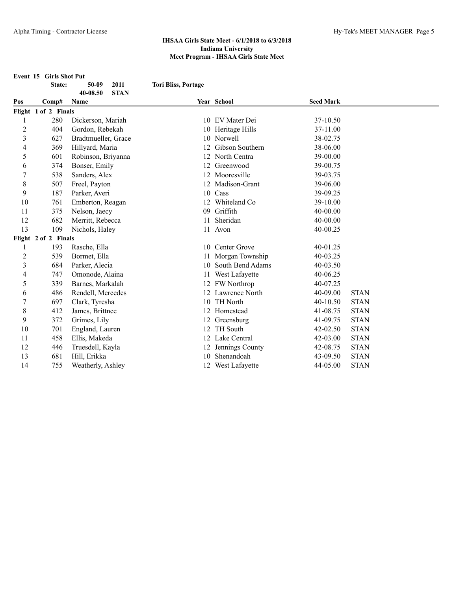**Event 15 Girls Shot Put**

**State: 50-09 2011 Tori Bliss, Portage**

|                         |                      | 40-08.50<br><b>STAN</b> |    |                   |                  |             |
|-------------------------|----------------------|-------------------------|----|-------------------|------------------|-------------|
| Pos                     | Comp#                | Name                    |    | Year School       | <b>Seed Mark</b> |             |
|                         | Flight 1 of 2 Finals |                         |    |                   |                  |             |
|                         | 280                  | Dickerson, Mariah       |    | 10 EV Mater Dei   | 37-10.50         |             |
| $\overline{c}$          | 404                  | Gordon, Rebekah         |    | 10 Heritage Hills | 37-11.00         |             |
| $\mathfrak{Z}$          | 627                  | Bradtmueller, Grace     | 10 | Norwell           | 38-02.75         |             |
| 4                       | 369                  | Hillyard, Maria         | 12 | Gibson Southern   | 38-06.00         |             |
| 5                       | 601                  | Robinson, Briyanna      | 12 | North Centra      | 39-00.00         |             |
| 6                       | 374                  | Bonser, Emily           | 12 | Greenwood         | 39-00.75         |             |
| 7                       | 538                  | Sanders, Alex           | 12 | Mooresville       | 39-03.75         |             |
| 8                       | 507                  | Freel, Payton           | 12 | Madison-Grant     | 39-06.00         |             |
| 9                       | 187                  | Parker, Averi           | 10 | Cass              | 39-09.25         |             |
| 10                      | 761                  | Emberton, Reagan        | 12 | Whiteland Co      | 39-10.00         |             |
| 11                      | 375                  | Nelson, Jaecy           | 09 | Griffith          | 40-00.00         |             |
| 12                      | 682                  | Merritt, Rebecca        | 11 | Sheridan          | 40-00.00         |             |
| 13                      | 109                  | Nichols, Haley          |    | 11 Avon           | 40-00.25         |             |
|                         | Flight 2 of 2 Finals |                         |    |                   |                  |             |
| 1                       | 193                  | Rasche, Ella            |    | 10 Center Grove   | 40-01.25         |             |
| 2                       | 539                  | Bormet, Ella            |    | Morgan Township   | 40-03.25         |             |
| $\overline{\mathbf{3}}$ | 684                  | Parker, Alecia          | 10 | South Bend Adams  | $40 - 03.50$     |             |
| 4                       | 747                  | Omonode, Alaina         |    | West Lafayette    | 40-06.25         |             |
| 5                       | 339                  | Barnes, Markalah        |    | 12 FW Northrop    | 40-07.25         |             |
| 6                       | 486                  | Rendell, Mercedes       |    | 12 Lawrence North | 40-09.00         | <b>STAN</b> |
| 7                       | 697                  | Clark, Tyresha          | 10 | TH North          | $40 - 10.50$     | <b>STAN</b> |
| 8                       | 412                  | James, Brittnee         |    | 12 Homestead      | 41-08.75         | <b>STAN</b> |
| 9                       | 372                  | Grimes, Lily            |    | 12 Greensburg     | 41-09.75         | <b>STAN</b> |
| 10                      | 701                  | England, Lauren         | 12 | TH South          | $42 - 02.50$     | <b>STAN</b> |
| 11                      | 458                  | Ellis, Makeda           |    | 12 Lake Central   | 42-03.00         | <b>STAN</b> |
| 12                      | 446                  | Truesdell, Kayla        | 12 | Jennings County   | 42-08.75         | <b>STAN</b> |
| 13                      | 681                  | Hill, Erikka            | 10 | Shenandoah        | 43-09.50         | <b>STAN</b> |
| 14                      | 755                  | Weatherly, Ashley       |    | 12 West Lafayette | 44-05.00         | <b>STAN</b> |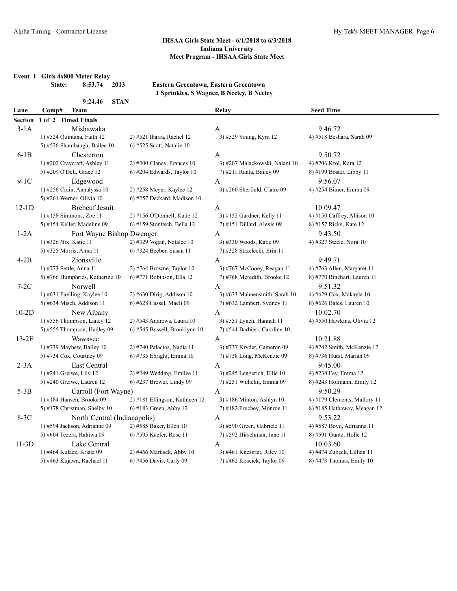**Event 1 Girls 4x800 Meter Relay**

**State: 8:53.74 2013 Eastern Greentown, Eastern Greentown J Sprinkles, S Wagner, B Neeley, B Neeley**

|           | 9:24.46<br><b>STAN</b>          |                                |                                |                              |
|-----------|---------------------------------|--------------------------------|--------------------------------|------------------------------|
| Lane      | <b>Team</b><br>Comp#            |                                | Relay                          | <b>Seed Time</b>             |
| Section   | 1 of 2 Timed Finals             |                                |                                |                              |
| $3-1A$    | Mishawaka                       |                                | A                              | 9:46.72                      |
|           | 1) #524 Quintana, Faith 12      | 2) #521 Ibarra, Rachel 12      | 3) #529 Young, Kyra 12         | 4) #518 Beshara, Sarah 09    |
|           | 5) #526 Shambaugh, Bailee 10    | 6) #525 Scott, Natalie 10      |                                |                              |
| $6-1B$    | Chesterton                      |                                | A                              | 9:50.72                      |
|           | 1) #202 Craycraft, Ashley 11    | $2)$ #200 Clancy, Frances 10   | 3) #207 Malackowski, Nalani 10 | 4) #206 Krol, Kara 12        |
|           | 5) #209 O'Dell, Grace 12        | 6) #204 Edwards, Taylor 10     | 7) #211 Ranta, Bailey 09       | 8) #199 Boster, Libby 11     |
| $9-1C$    | Edgewood                        |                                | A                              | 9:56.07                      |
|           | 1) #256 Crain, Annalyssa 10     | 2) #258 Meyer, Kaylee 12       | 3) #260 Sherfield, Claire 09   | 4) #254 Bitner, Emma 09      |
|           | 5) #261 Werner, Olivia 10       | 6) #257 Deckard, Madison 10    |                                |                              |
| $12 - 1D$ | <b>Brebeuf Jesuit</b>           |                                | A                              | 10:09.47                     |
|           | 1) #158 Simmons, Zoe 11         | 2) #156 O'Donnell, Katie 12    | 3) #152 Gardner, Kelly 11      | 4) #150 Caffrey, Allison 10  |
|           | 5) #154 Keller, Madeline 09     | 6) #159 Stonitsch, Bella 12    | 7) #151 Dillard, Alexis 09     | 8) #157 Ricks, Kate 12       |
| $1-2A$    | Fort Wayne Bishop Dwenger       |                                | A                              | 9:43.50                      |
|           | 1) #326 Nix, Katie 11           | $2)$ #329 Vogan, Natalee 10    | 3) #330 Woods, Katie 09        | 4) #327 Steele, Nora 10      |
|           | 5) #325 Morris, Anna 11         | 6) #324 Beeber, Susan 11       | 7) #328 Strzelecki, Erin 11    |                              |
| $4-2B$    | Zionsville                      |                                | A                              | 9:49.71                      |
|           | 1) #773 Settle, Anna 11         | $2)$ #764 Browne, Taylor 10    | 3) #767 McCooey, Reagan 11     | 4) #763 Allen, Margaret 11   |
|           | 5) #766 Humphries, Katherine 10 | 6) #771 Robinson, Ella 12      | 7) #768 Meredith, Brooke 12    | 8) #770 Rinehart, Lauren 11  |
| $7-2C$    | Norwell                         |                                | A                              | 9:51.32                      |
|           | 1) #631 Fuelling, Kaylee $10$   | 2) #630 Dirig, Addison 10      | 3) #633 Mahnensmith, Sarah 10  | 4) #629 Cox, Makayla 10      |
|           | 5) #634 Misch, Addison 11       | 6) #628 Cassel, Maeli 09       | 7) #632 Lambert, Sydney 11     | 8) #626 Bales, Lauren 10     |
| $10-2D$   | New Albany                      |                                | A                              | 10:02.70                     |
|           | 1) #556 Thompson, Laney 12      | 2) #543 Andrews, Laura 10      | 3) #551 Lynch, Hannah 11       | 4) #550 Hawkins, Olivia 12   |
|           | 5) #555 Thompson, Hadley 09     | 6) #545 Bussell, Brooklynn 10  | 7) #544 Barbieri, Caroline 10  |                              |
| $13-2E$   | Wawasee                         |                                | A                              | 10:21.88                     |
|           | 1) #739 Mayhew, Bailey 10       | 2) #740 Palacios, Nadia 11     | 3) #737 Kryder, Cameron 09     | 4) #742 Smith, McKenzie 12   |
|           | 5) #734 Cox, Courtney 09        | 6) #735 Ebright, Emma 10       | 7) #738 Long, McKenzie 09      | 8) #736 Hurst, Mariah 09     |
| $2-3A$    | East Central                    |                                | A                              | 9:45.00                      |
|           | 1) #241 Greiwe, Lily 12         | 2) #249 Wedding, Emilee 11     | 3) #245 Lengerich, Ellie 10    | 4) #238 Fey, Emma 12         |
|           | 5) #240 Greiwe, Lauren 12       | 6) #237 Brewer, Lindy 09       | 7) #251 Wilhelm, Emma 09       | 8) #243 Hofmann, Emily 12    |
| $5-3B$    | Carroll (Fort Wayne)            |                                | A                              | 9:50.29                      |
|           | 1) #184 Hansen, Brooke 09       | 2) #181 Ellingson, Kathleen 12 | 3) #186 Minton, Ashlyn 10      | 4) #179 Clements, Mallory 11 |
|           | 5) #178 Christman, Shelby 10    | 6) #183 Green, Abby 12         | $7)$ #182 Fruchey, Monroe 11   | 8) #185 Hathaway, Meagan 12  |
| $8-3C$    | North Central (Indianapolis)    |                                | A                              | 9:53.22                      |
|           | 1) #594 Jackson, Adrianne 09    | 2) #585 Baker, Ellen 10        | 3) #590 Green, Gabriele 11     | 4) #587 Boyd, Adrianna 11    |
|           | 5) #604 Tezera, Rahiwa 09       | 6) #595 Kaefer, Rose 11        | 7) #592 Hirschman, Jane 11     | 8) #591 Guntz, Holle 12      |
| $11-3D$   | Lake Central                    |                                | A                              | 10:03.60                     |
|           | 1) #464 Kulacz, Krista 09       | 2) #466 Martisek, Abby 10      | 3) #461 Knestrict, Riley 10    | 4) #474 Zubeck, Lillian 11   |
|           | 5) #463 Kujawa, Rachael 11      | 6) #456 Davis, Carly 09        | 7) #462 Kosciek, Taylor 09     | 8) #473 Thomas, Emily 10     |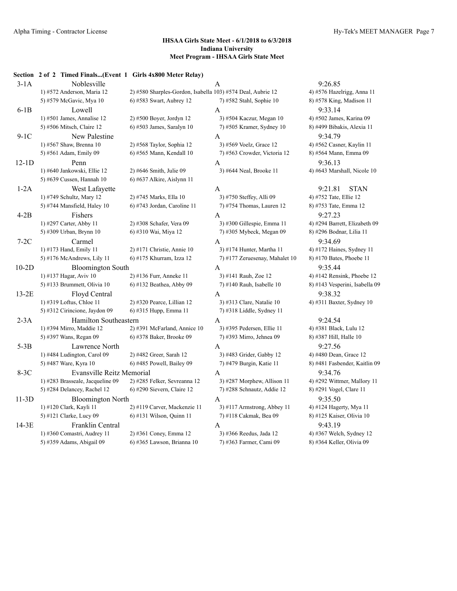#### **Section 2 of 2 Timed Finals...(Event 1 Girls 4x800 Meter Relay)**

| $3-1A$  | Noblesville                      |                                                             | $\mathbf{A}$                   | 9:26.85                        |
|---------|----------------------------------|-------------------------------------------------------------|--------------------------------|--------------------------------|
|         | 1) #572 Anderson, Maria 12       | 2) #580 Sharples-Gordon, Isabella 103) #574 Deal, Aubrie 12 |                                | 4) #576 Hazelrigg, Anna 11     |
|         | 5) #579 McGavic, Mya 10          | 6) #583 Swart, Aubrey 12                                    | 7) #582 Stahl, Sophie 10       | 8) #578 King, Madison 11       |
| $6-1B$  | Lowell                           |                                                             | A                              | 9:33.14                        |
|         | 1) #501 James, Annalise 12       | 2) #500 Boyer, Jordyn 12                                    | 3) #504 Kaczur, Megan 10       | 4) #502 James, Karina 09       |
|         | 5) #506 Mitsch, Claire 12        | $6$ ) #503 James, Saralyn 10                                | 7) #505 Kramer, Sydney 10      | 8) #499 Bibakis, Alexia 11     |
| $9-1C$  | New Palestine                    |                                                             | A                              | 9:34.79                        |
|         | 1) #567 Shaw, Brenna 10          | 2) #568 Taylor, Sophia 12                                   | 3) #569 Voelz, Grace 12        | 4) #562 Casner, Kaylin 11      |
|         | 5) #561 Adam, Emily 09           | 6) #565 Mann, Kendall 10                                    | 7) #563 Crowder, Victoria 12   | 8) #564 Mann, Emma 09          |
| $12-1D$ | Penn                             |                                                             | A                              | 9:36.13                        |
|         | 1) #640 Jankowski, Ellie 12      | 2) #646 Smith, Julie 09                                     | 3) #644 Neal, Brooke 11        | 4) #643 Marshall, Nicole 10    |
|         | 5) #639 Cussen, Hannah 10        | $6$ ) #637 Alkire, Aislynn 11                               |                                |                                |
| $1-2A$  | West Lafayette                   |                                                             | A                              | 9:21.81<br><b>STAN</b>         |
|         | 1) #749 Schultz, Mary 12         | 2) #745 Marks, Ella 10                                      | 3) #750 Steffey, Alli 09       | 4) #752 Tate, Ellie 12         |
|         | 5) #744 Mansfield, Haley 10      | 6) #743 Jordan, Caroline 11                                 | 7) #754 Thomas, Lauren 12      | 8) #753 Tate, Emma 12          |
| $4-2B$  | Fishers                          |                                                             | A                              | 9:27.23                        |
|         | 1) #297 Carter, Abby 11          | 2) #308 Schafer, Vera 09                                    | 3) #300 Gillespie, Emma 11     | 4) #294 Barrett, Elizabeth 09  |
|         | 5) #309 Urban, Brynn 10          | 6) #310 Wai, Miya 12                                        | 7) #305 Mybeck, Megan 09       | 8) #296 Bodnar, Lilia 11       |
| $7-2C$  | Carmel                           |                                                             | A                              | 9:34.69                        |
|         | 1) #173 Hand, Emily 11           | $2)$ #171 Christie, Annie 10                                | 3) #174 Hunter, Martha 11      | 4) #172 Haines, Sydney 11      |
|         | 5) #176 McAndrews, Lily 11       | 6) #175 Khurram, Izza 12                                    | 7) #177 Zeruesenay, Mahalet 10 | 8) #170 Bates, Phoebe 11       |
| $10-2D$ | <b>Bloomington South</b>         |                                                             | A                              | 9:35.44                        |
|         | 1) #137 Hagar, Aviv 10           | 2) #136 Furr, Anneke 11                                     | 3) #141 Rauh, Zoe 12           | 4) #142 Rensink, Phoebe 12     |
|         | 5) #133 Brummett, Olivia $10$    | $6)$ #132 Beathea, Abby 09                                  | $(7)$ #140 Rauh, Isabelle 10   | 8) #143 Vesperini, Isabella 09 |
| $13-2E$ | Floyd Central                    |                                                             | A                              | 9:38.32                        |
|         | 1) #319 Loftus, Chloe 11         | 2) #320 Pearce, Lillian 12                                  | 3) #313 Clare, Natalie 10      | 4) #311 Baxter, Sydney 10      |
|         | 5) #312 Cirincione, Jaydon 09    | 6) #315 Hupp, Emma 11                                       | 7) #318 Liddle, Sydney 11      |                                |
| $2-3A$  | Hamilton Southeastern            |                                                             | A                              | 9:24.54                        |
|         | 1) #394 Mirro, Maddie 12         | 2) #391 McFarland, Annice 10                                | 3) #395 Pedersen, Ellie 11     | 4) #381 Black, Lulu 12         |
|         | 5) #397 Wans, Regan 09           | 6) #378 Baker, Brooke 09                                    | 7) #393 Mirro, Jehnea 09       | 8) #387 Hill, Halle 10         |
| $5-3B$  | Lawrence North                   |                                                             | A                              | 9:27.56                        |
|         | 1) #484 Ludington, Carol 09      | 2) #482 Greer, Sarah 12                                     | 3) #483 Grider, Gabby 12       | 4) #480 Dean, Grace 12         |
|         | 5) #487 Ware, Kyra 10            | $6$ ) #485 Powell, Bailey 09                                | 7) #479 Burgin, Katie 11       | 8) #481 Fasbender, Kaitlin 09  |
| $8-3C$  | Evansville Reitz Memorial        |                                                             | A                              | 9:34.76                        |
|         | 1) #283 Brasseale, Jacqueline 09 | 2) #285 Felker, Sevreanna 12                                | 3) #287 Morphew, Allison 11    | 4) #292 Wittmer, Mallory 11    |
|         | 5) #284 Delancey, Rachel 12      | $(6)$ #290 Sievern, Claire 12                               | 7) #288 Schnautz, Addie 12     | 8) #291 Vogel, Clare 11        |
| $11-3D$ | <b>Bloomington North</b>         |                                                             | A                              | 9:35.50                        |
|         | 1) #120 Clark, Kayli 11          | 2) #119 Carver, Mackenzie 11                                | 3) #117 Armstrong, Abbey 11    | 4) #124 Hagerty, Mya 11        |
|         | 5) #121 Clarke, Lucy 09          | 6) #131 Wilson, Quinn 11                                    | 7) #118 Cakmak, Bea 09         | 8) #125 Kaiser, Olivia 10      |
| 14-3E   | Franklin Central                 |                                                             | A                              | 9:43.19                        |
|         | 1) #360 Comastri, Audrey 11      | 2) #361 Coney, Emma 12                                      | 3) #366 Reedus, Jada 12        | 4) #367 Welch, Sydney 12       |
|         | 5) #359 Adams, Abigail 09        | 6) #365 Lawson, Brianna 10                                  | 7) #363 Farmer, Cami 09        | 8) #364 Keller, Olivia 09      |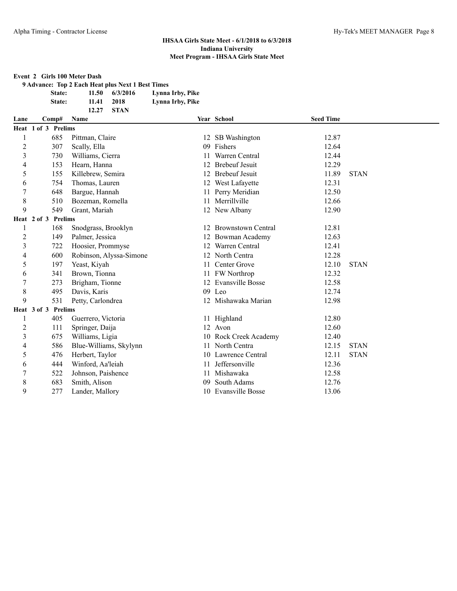#### **Event 2 Girls 100 Meter Dash**

**9 Advance: Top 2 Each Heat plus Next 1 Best Times State: 11.50 6/3/2016 Lynna Irby, Pike**

**State: 11.41 2018 Lynna Irby, Pike**

|                |                     | <b>STAN</b><br>12.27    |    |                         |                  |             |
|----------------|---------------------|-------------------------|----|-------------------------|------------------|-------------|
| Lane           | Comp#               | Name                    |    | Year School             | <b>Seed Time</b> |             |
|                | Heat 1 of 3 Prelims |                         |    |                         |                  |             |
|                | 685                 | Pittman, Claire         |    | 12 SB Washington        | 12.87            |             |
| $\overline{c}$ | 307                 | Scally, Ella            | 09 | Fishers                 | 12.64            |             |
| 3              | 730                 | Williams, Cierra        |    | Warren Central          | 12.44            |             |
| 4              | 153                 | Hearn, Hanna            | 12 | <b>Brebeuf Jesuit</b>   | 12.29            |             |
| 5              | 155                 | Killebrew, Semira       |    | 12 Brebeuf Jesuit       | 11.89            | <b>STAN</b> |
| 6              | 754                 | Thomas, Lauren          |    | 12 West Lafayette       | 12.31            |             |
| 7              | 648                 | Bargue, Hannah          |    | 11 Perry Meridian       | 12.50            |             |
| 8              | 510                 | Bozeman, Romella        | 11 | Merrillville            | 12.66            |             |
| 9              | 549                 | Grant, Mariah           |    | 12 New Albany           | 12.90            |             |
|                | Heat 2 of 3 Prelims |                         |    |                         |                  |             |
|                | 168                 | Snodgrass, Brooklyn     |    | 12 Brownstown Central   | 12.81            |             |
| $\overline{c}$ | 149                 | Palmer, Jessica         |    | 12 Bowman Academy       | 12.63            |             |
| 3              | 722                 | Hoosier, Prommyse       | 12 | Warren Central          | 12.41            |             |
| 4              | 600                 | Robinson, Alyssa-Simone |    | 12 North Centra         | 12.28            |             |
| 5              | 197                 | Yeast, Kiyah            | 11 | Center Grove            | 12.10            | <b>STAN</b> |
| 6              | 341                 | Brown, Tionna           |    | 11 FW Northrop          | 12.32            |             |
| 7              | 273                 | Brigham, Tionne         | 12 | <b>Evansville Bosse</b> | 12.58            |             |
| 8              | 495                 | Davis, Karis            |    | 09 Leo                  | 12.74            |             |
| 9              | 531                 | Petty, Carlondrea       |    | 12 Mishawaka Marian     | 12.98            |             |
|                | Heat 3 of 3 Prelims |                         |    |                         |                  |             |
|                | 405                 | Guerrero, Victoria      |    | 11 Highland             | 12.80            |             |
| $\overline{c}$ | 111                 | Springer, Daija         |    | 12 Avon                 | 12.60            |             |
| 3              | 675                 | Williams, Ligia         |    | 10 Rock Creek Academy   | 12.40            |             |
| 4              | 586                 | Blue-Williams, Skylynn  |    | 11 North Centra         | 12.15            | <b>STAN</b> |
| 5              | 476                 | Herbert, Taylor         |    | 10 Lawrence Central     | 12.11            | <b>STAN</b> |
| 6              | 444                 | Winford, Aa'leiah       | 11 | Jeffersonville          | 12.36            |             |
| 7              | 522                 | Johnson, Paishence      | 11 | Mishawaka               | 12.58            |             |
| 8              | 683                 | Smith, Alison           | 09 | South Adams             | 12.76            |             |
| 9              | 277                 | Lander, Mallory         |    | 10 Evansville Bosse     | 13.06            |             |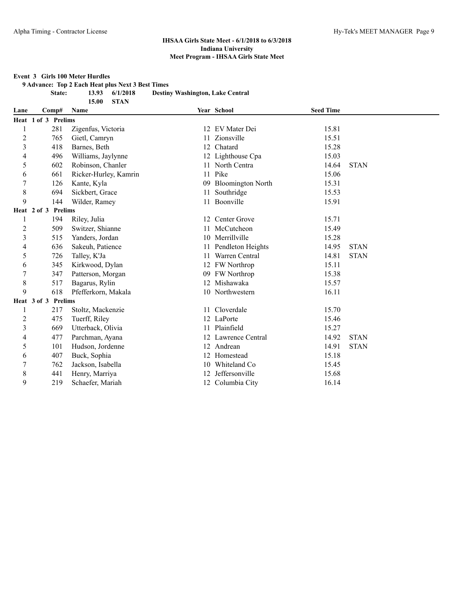#### **Event 3 Girls 100 Meter Hurdles**

**9 Advance: Top 2 Each Heat plus Next 3 Best Times**

**15.00 STAN**

**State: 13.93 6/1/2018 Destiny Washington, Lake Central**

| Lane           |                     | Comp# | <b>Name</b>           |    | Year School              | <b>Seed Time</b> |             |
|----------------|---------------------|-------|-----------------------|----|--------------------------|------------------|-------------|
|                | Heat 1 of 3 Prelims |       |                       |    |                          |                  |             |
|                |                     | 281   | Zigenfus, Victoria    |    | 12 EV Mater Dei          | 15.81            |             |
| $\overline{c}$ |                     | 765   | Gietl, Camryn         | 11 | Zionsville               | 15.51            |             |
| 3              |                     | 418   | Barnes, Beth          | 12 | Chatard                  | 15.28            |             |
| 4              |                     | 496   | Williams, Jaylynne    |    | 12 Lighthouse Cpa        | 15.03            |             |
| 5              |                     | 602   | Robinson, Chanler     |    | 11 North Centra          | 14.64            | <b>STAN</b> |
| 6              |                     | 661   | Ricker-Hurley, Kamrin |    | 11 Pike                  | 15.06            |             |
| 7              |                     | 126   | Kante, Kyla           | 09 | <b>Bloomington North</b> | 15.31            |             |
| 8              |                     | 694   | Sickbert, Grace       | 11 | Southridge               | 15.53            |             |
| 9              |                     | 144   | Wilder, Ramey         |    | 11 Boonville             | 15.91            |             |
|                | Heat 2 of 3 Prelims |       |                       |    |                          |                  |             |
| 1              |                     | 194   | Riley, Julia          |    | 12 Center Grove          | 15.71            |             |
| 2              |                     | 509   | Switzer, Shianne      | 11 | McCutcheon               | 15.49            |             |
| 3              |                     | 515   | Yanders, Jordan       |    | 10 Merrillville          | 15.28            |             |
| 4              |                     | 636   | Sakeuh, Patience      | 11 | Pendleton Heights        | 14.95            | <b>STAN</b> |
| 5              |                     | 726   | Talley, K'Ja          | 11 | Warren Central           | 14.81            | <b>STAN</b> |
| 6              |                     | 345   | Kirkwood, Dylan       |    | 12 FW Northrop           | 15.11            |             |
| 7              |                     | 347   | Patterson, Morgan     |    | 09 FW Northrop           | 15.38            |             |
| 8              |                     | 517   | Bagarus, Rylin        | 12 | Mishawaka                | 15.57            |             |
| 9              |                     | 618   | Pfefferkorn, Makala   |    | 10 Northwestern          | 16.11            |             |
|                | Heat 3 of 3 Prelims |       |                       |    |                          |                  |             |
|                |                     | 217   | Stoltz, Mackenzie     |    | 11 Cloverdale            | 15.70            |             |
| $\overline{c}$ |                     | 475   | Tuerff, Riley         |    | 12 LaPorte               | 15.46            |             |
| 3              |                     | 669   | Utterback, Olivia     |    | 11 Plainfield            | 15.27            |             |
| 4              |                     | 477   | Parchman, Ayana       |    | 12 Lawrence Central      | 14.92            | <b>STAN</b> |
| 5              |                     | 101   | Hudson, Jordenne      |    | 12 Andrean               | 14.91            | <b>STAN</b> |
| 6              |                     | 407   | Buck, Sophia          | 12 | Homestead                | 15.18            |             |
| 7              |                     | 762   | Jackson, Isabella     | 10 | Whiteland Co             | 15.45            |             |
| 8              |                     | 441   | Henry, Marriya        | 12 | Jeffersonville           | 15.68            |             |
| 9              |                     | 219   | Schaefer, Mariah      |    | 12 Columbia City         | 16.14            |             |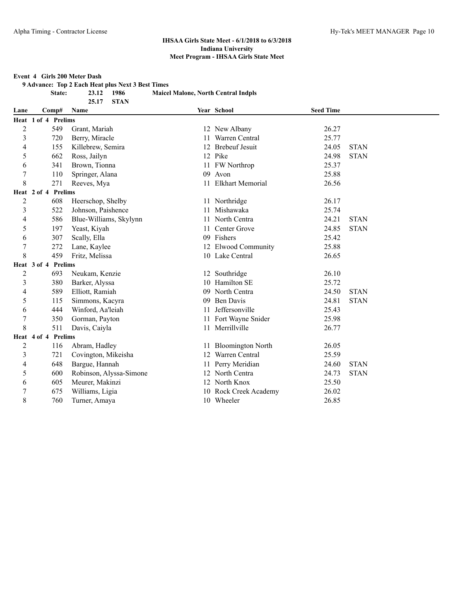#### **Event 4 Girls 200 Meter Dash**

**9 Advance: Top 2 Each Heat plus Next 3 Best Times**

**25.17 STAN**

**State: 23.12 1986 Maicel Malone, North Central Indpls**

| Lane           | Comp#               | Name                    |    | Year School              | <b>Seed Time</b> |             |
|----------------|---------------------|-------------------------|----|--------------------------|------------------|-------------|
|                | Heat 1 of 4 Prelims |                         |    |                          |                  |             |
| $\overline{2}$ | 549                 | Grant, Mariah           |    | 12 New Albany            | 26.27            |             |
| 3              | 720                 | Berry, Miracle          | 11 | Warren Central           | 25.77            |             |
| 4              | 155                 | Killebrew, Semira       |    | 12 Brebeuf Jesuit        | 24.05            | <b>STAN</b> |
| 5              | 662                 | Ross, Jailyn            |    | 12 Pike                  | 24.98            | <b>STAN</b> |
| 6              | 341                 | Brown, Tionna           |    | 11 FW Northrop           | 25.37            |             |
| $\overline{7}$ | 110                 | Springer, Alana         |    | 09 Avon                  | 25.88            |             |
| 8              | 271                 | Reeves, Mya             | 11 | <b>Elkhart Memorial</b>  | 26.56            |             |
|                | Heat 2 of 4 Prelims |                         |    |                          |                  |             |
| $\overline{c}$ | 608                 | Heerschop, Shelby       |    | 11 Northridge            | 26.17            |             |
| 3              | 522                 | Johnson, Paishence      | 11 | Mishawaka                | 25.74            |             |
| 4              | 586                 | Blue-Williams, Skylynn  | 11 | North Centra             | 24.21            | <b>STAN</b> |
| 5              | 197                 | Yeast, Kiyah            | 11 | Center Grove             | 24.85            | <b>STAN</b> |
| 6              | 307                 | Scally, Ella            |    | 09 Fishers               | 25.42            |             |
| 7              | 272                 | Lane, Kaylee            |    | 12 Elwood Community      | 25.88            |             |
| 8              | 459                 | Fritz, Melissa          |    | 10 Lake Central          | 26.65            |             |
|                | Heat 3 of 4 Prelims |                         |    |                          |                  |             |
| $\overline{c}$ | 693                 | Neukam, Kenzie          |    | 12 Southridge            | 26.10            |             |
| 3              | 380                 | Barker, Alyssa          | 10 | Hamilton SE              | 25.72            |             |
| $\overline{4}$ | 589                 | Elliott, Ramiah         | 09 | North Centra             | 24.50            | <b>STAN</b> |
| 5              | 115                 | Simmons, Kacyra         | 09 | <b>Ben Davis</b>         | 24.81            | <b>STAN</b> |
| 6              | 444                 | Winford, Aa'leiah       | 11 | Jeffersonville           | 25.43            |             |
| 7              | 350                 | Gorman, Payton          |    | 11 Fort Wayne Snider     | 25.98            |             |
| 8              | 511                 | Davis, Caiyla           |    | 11 Merrillville          | 26.77            |             |
|                | Heat 4 of 4 Prelims |                         |    |                          |                  |             |
| $\overline{2}$ | 116                 | Abram, Hadley           | 11 | <b>Bloomington North</b> | 26.05            |             |
| 3              | 721                 | Covington, Mikeisha     |    | 12 Warren Central        | 25.59            |             |
| 4              | 648                 | Bargue, Hannah          | 11 | Perry Meridian           | 24.60            | <b>STAN</b> |
| 5              | 600                 | Robinson, Alyssa-Simone |    | 12 North Centra          | 24.73            | <b>STAN</b> |
| 6              | 605                 | Meurer, Makinzi         |    | 12 North Knox            | 25.50            |             |
| $\overline{7}$ | 675                 | Williams, Ligia         |    | 10 Rock Creek Academy    | 26.02            |             |
| 8              | 760                 | Turner, Amaya           |    | 10 Wheeler               | 26.85            |             |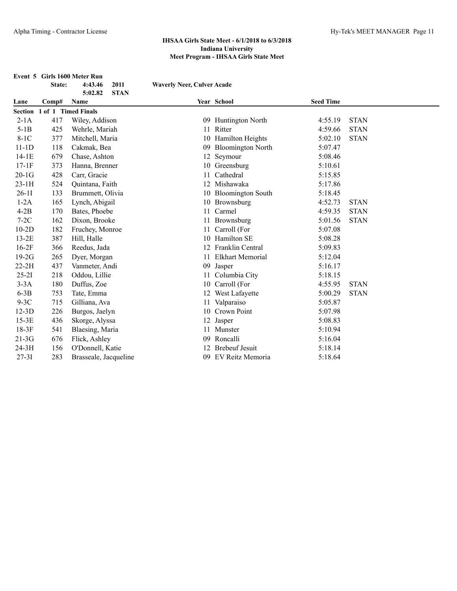|           | State:              | Event 5 Girls 1600 Meter Run<br>2011<br>4:43.46<br><b>STAN</b><br>5:02.82 | <b>Waverly Neer, Culver Acade</b> |                          |                  |             |
|-----------|---------------------|---------------------------------------------------------------------------|-----------------------------------|--------------------------|------------------|-------------|
| Lane      | Comp#               | Name                                                                      |                                   | Year School              | <b>Seed Time</b> |             |
| Section   | 1 of 1 Timed Finals |                                                                           |                                   |                          |                  |             |
| $2-1A$    | 417                 | Wiley, Addison                                                            |                                   | 09 Huntington North      | 4:55.19          | <b>STAN</b> |
| $5-1B$    | 425                 | Wehrle, Mariah                                                            | 11                                | Ritter                   | 4:59.66          | <b>STAN</b> |
| $8-1C$    | 377                 | Mitchell, Maria                                                           |                                   | 10 Hamilton Heights      | 5:02.10          | <b>STAN</b> |
| $11-1D$   | 118                 | Cakmak, Bea                                                               | 09                                | <b>Bloomington North</b> | 5:07.47          |             |
| $14-1E$   | 679                 | Chase, Ashton                                                             |                                   | 12 Seymour               | 5:08.46          |             |
| $17-1F$   | 373                 | Hanna, Brenner                                                            |                                   | 10 Greensburg            | 5:10.61          |             |
| $20-1G$   | 428                 | Carr, Gracie                                                              | 11                                | Cathedral                | 5:15.85          |             |
| $23-1H$   | 524                 | Quintana, Faith                                                           | 12                                | Mishawaka                | 5:17.86          |             |
| $26-11$   | 133                 | Brummett, Olivia                                                          |                                   | 10 Bloomington South     | 5:18.45          |             |
| $1-2A$    | 165                 | Lynch, Abigail                                                            |                                   | 10 Brownsburg            | 4:52.73          | <b>STAN</b> |
| $4-2B$    | 170                 | Bates, Phoebe                                                             |                                   | 11 Carmel                | 4:59.35          | <b>STAN</b> |
| $7-2C$    | 162                 | Dixon, Brooke                                                             | 11                                | Brownsburg               | 5:01.56          | <b>STAN</b> |
| $10-2D$   | 182                 | Fruchey, Monroe                                                           | 11                                | Carroll (For             | 5:07.08          |             |
| $13-2E$   | 387                 | Hill, Halle                                                               | 10                                | Hamilton SE              | 5:08.28          |             |
| $16-2F$   | 366                 | Reedus, Jada                                                              | 12                                | Franklin Central         | 5:09.83          |             |
| $19-2G$   | 265                 | Dyer, Morgan                                                              | 11                                | <b>Elkhart Memorial</b>  | 5:12.04          |             |
| $22-2H$   | 437                 | Vanmeter, Andi                                                            | 09                                | Jasper                   | 5:16.17          |             |
| $25 - 21$ | 218                 | Oddou, Lillie                                                             | 11                                | Columbia City            | 5:18.15          |             |
| $3-3A$    | 180                 | Duffus, Zoe                                                               | 10                                | Carroll (For             | 4:55.95          | <b>STAN</b> |
| $6-3B$    | 753                 | Tate, Emma                                                                |                                   | 12 West Lafayette        | 5:00.29          | <b>STAN</b> |
| $9-3C$    | 715                 | Gilliana, Ava                                                             |                                   | 11 Valparaiso            | 5:05.87          |             |
| $12-3D$   | 226                 | Burgos, Jaelyn                                                            |                                   | 10 Crown Point           | 5:07.98          |             |
| $15-3E$   | 436                 | Skorge, Alyssa                                                            |                                   | 12 Jasper                | 5:08.83          |             |
| $18-3F$   | 541                 | Blaesing, Maria                                                           | 11                                | Munster                  | 5:10.94          |             |
| $21-3G$   | 676                 | Flick, Ashley                                                             | 09                                | Roncalli                 | 5:16.04          |             |
| 24-3H     | 156                 | O'Donnell, Katie                                                          | 12                                | <b>Brebeuf Jesuit</b>    | 5:18.14          |             |
| $27 - 31$ | 283                 | Brasseale, Jacqueline                                                     | 09                                | EV Reitz Memoria         | 5:18.64          |             |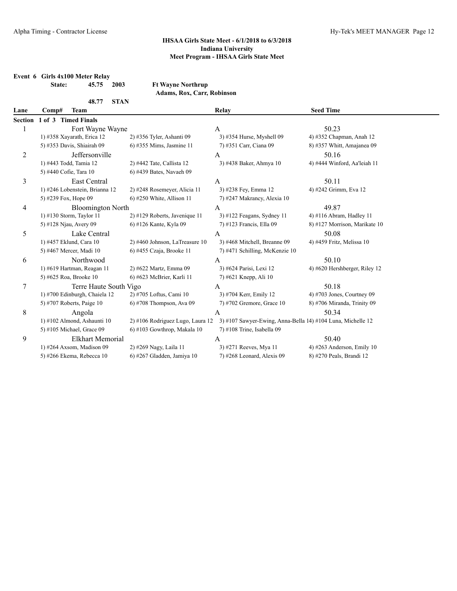|                | State:               | Event 6 Girls 4x100 Meter Relay<br>45.75 | 2003        | <b>Ft Wayne Northrup</b><br>Adams, Rox, Carr, Robinson |                                                             |                               |
|----------------|----------------------|------------------------------------------|-------------|--------------------------------------------------------|-------------------------------------------------------------|-------------------------------|
|                |                      | 48.77                                    | <b>STAN</b> |                                                        |                                                             |                               |
| Lane           | Comp#                | <b>Team</b>                              |             |                                                        | Relay                                                       | <b>Seed Time</b>              |
| <b>Section</b> |                      | 1 of 3 Timed Finals                      |             |                                                        |                                                             |                               |
| 1              |                      | Fort Wayne Wayne                         |             |                                                        | A                                                           | 50.23                         |
|                |                      | 1) #358 Xayarath, Erica 12               |             | 2) #356 Tyler, Ashanti 09                              | 3) #354 Hurse, Myshell 09                                   | 4) #352 Chapman, Anah 12      |
|                |                      | 5) #353 Davis, Shiairah 09               |             | 6) #355 Mims, Jasmine 11                               | 7) #351 Carr, Ciana 09                                      | 8) #357 Whitt, Amajanea 09    |
| $\overline{2}$ |                      | Jeffersonville                           |             |                                                        | A                                                           | 50.16                         |
|                |                      | 1) #443 Todd, Tamia 12                   |             | 2) #442 Tate, Callista 12                              | 3) #438 Baker, Ahmya 10                                     | 4) #444 Winford, Aa'leiah 11  |
|                |                      | 5) #440 Cofie, Tara 10                   |             | 6) #439 Bates, Navaeh 09                               |                                                             |                               |
| 3              |                      | East Central                             |             |                                                        | A                                                           | 50.11                         |
|                |                      | 1) #246 Lobenstein, Brianna 12           |             | 2) #248 Rosemeyer, Alicia 11                           | 3) #238 Fey, Emma 12                                        | 4) #242 Grimm, Eva 12         |
|                | 5) #239 Fox, Hope 09 |                                          |             | $6$ ) #250 White, Allison 11                           | 7) #247 Makrancy, Alexia 10                                 |                               |
| 4              |                      | <b>Bloomington North</b>                 |             |                                                        | A                                                           | 49.87                         |
|                |                      | 1) #130 Storm, Taylor 11                 |             | 2) #129 Roberts, Javenique 11                          | 3) #122 Feagans, Sydney 11                                  | 4) #116 Abram, Hadley 11      |
|                |                      | 5) #128 Njau, Avery 09                   |             | 6) #126 Kante, Kyla 09                                 | 7) #123 Francis, Ella 09                                    | 8) #127 Morrison, Marikate 10 |
| 5              |                      | Lake Central                             |             |                                                        | A                                                           | 50.08                         |
|                |                      | 1) #457 Eklund, Cara 10                  |             | 2) #460 Johnson, LaTreasure 10                         | 3) #468 Mitchell, Breanne 09                                | 4) #459 Fritz, Melissa 10     |
|                |                      | 5) #467 Mercer, Madi 10                  |             | $6$ ) #455 Czaja, Brooke 11                            | 7) #471 Schilling, McKenzie 10                              |                               |
| 6              |                      | Northwood                                |             |                                                        | A                                                           | 50.10                         |
|                |                      | 1) #619 Hartman, Reagan 11               |             | 2) #622 Martz, Emma 09                                 | 3) #624 Parisi, Lexi 12                                     | 4) #620 Hershberger, Riley 12 |
|                |                      | 5) #625 Roa, Brooke 10                   |             | 6) #623 McBrier, Karli 11                              | 7) #621 Knepp, Ali 10                                       |                               |
| $\tau$         |                      | Terre Haute South Vigo                   |             |                                                        | A                                                           | 50.18                         |
|                |                      | 1) #700 Edinburgh, Chaiela 12            |             | 2) #705 Loftus, Cami 10                                | 3) #704 Kerr, Emily 12                                      | 4) #703 Jones, Courtney $09$  |
|                |                      | 5) #707 Roberts, Paige 10                |             | $6$ ) #708 Thompson, Ava 09                            | 7) #702 Gremore, Grace 10                                   | 8) #706 Miranda, Trinity 09   |
| 8              |                      | Angola                                   |             |                                                        | $\mathbf{A}$                                                | 50.34                         |
|                |                      | 1) #102 Almond, Ashaunti 10              |             | 2) #106 Rodriguez Lugo, Laura 12                       | 3) #107 Sawyer-Ewing, Anna-Bella 14) #104 Luna, Michelle 12 |                               |
|                |                      | 5) #105 Michael, Grace 09                |             | 6) #103 Gowthrop, Makala 10                            | 7) #108 Trine, Isabella 09                                  |                               |
| 9              |                      | Elkhart Memorial                         |             |                                                        | A                                                           | 50.40                         |
|                |                      | 1) #264 Axsom, Madison 09                |             | 2) #269 Nagy, Laila 11                                 | 3) #271 Reeves, Mya 11                                      | 4) #263 Anderson, Emily 10    |
|                |                      | 5) #266 Ekema, Rebecca 10                |             | 6) #267 Gladden, Jamiya 10                             | 7) #268 Leonard, Alexis 09                                  | 8) #270 Peals, Brandi 12      |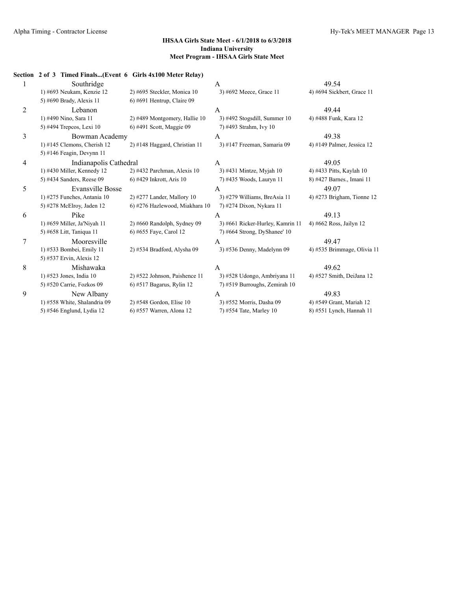|                | Section 2 of 3 Timed Finals(Event 6 Girls 4x100 Meter Relay) |                                |                                  |                              |
|----------------|--------------------------------------------------------------|--------------------------------|----------------------------------|------------------------------|
| 1              | Southridge                                                   |                                | A                                | 49.54                        |
|                | 1) #693 Neukam, Kenzie 12                                    | 2) #695 Steckler, Monica 10    | 3) #692 Meece, Grace 11          | 4) #694 Sickbert, Grace 11   |
|                | 5) #690 Brady, Alexis 11                                     | $6$ ) #691 Hentrup, Claire 09  |                                  |                              |
| $\overline{2}$ | Lebanon                                                      |                                | A                                | 49.44                        |
|                | 1) #490 Nino, Sara 11                                        | 2) #489 Montgomery, Hallie 10  | 3) #492 Stogsdill, Summer 10     | 4) #488 Funk, Kara 12        |
|                | 5) #494 Trepcos, Lexi 10                                     | 6) #491 Scott, Maggie 09       | 7) #493 Strahm, Ivy 10           |                              |
| 3              | Bowman Academy                                               |                                | A                                | 49.38                        |
|                | $1)$ #145 Clemons, Cherish 12                                | 2) #148 Haggard, Christian 11  | 3) #147 Freeman, Samaria 09      | 4) #149 Palmer, Jessica 12   |
|                | 5) #146 Feagin, Devynn $11$                                  |                                |                                  |                              |
| 4              | Indianapolis Cathedral                                       |                                | A                                | 49.05                        |
|                | 1) #430 Miller, Kennedy 12                                   | $2)$ #432 Parchman, Alexis 10  | 3) #431 Mintze, Myjah 10         | 4) #433 Pitts, Kaylah 10     |
|                | 5) #434 Sanders, Reese 09                                    | 6) #429 Inkrott, Aris 10       | 7) #435 Woods, Lauryn 11         | 8) #427 Barnes., Imani 11    |
| 5              | Evansville Bosse                                             |                                | A                                | 49.07                        |
|                | 1) #275 Funches, Antania 10                                  | $2)$ #277 Lander, Mallory 10   | 3) #279 Williams, BreAsia 11     | 4) #273 Brigham, Tionne $12$ |
|                | 5) #278 McElroy, Jaden 12                                    | 6) #276 Hazlewood, Miakhara 10 | 7) #274 Dixon, Nykara 11         |                              |
| 6              | Pike                                                         |                                | A                                | 49.13                        |
|                | 1) #659 Miller, Ja'Niyah 11                                  | 2) #660 Randolph, Sydney 09    | 3) #661 Ricker-Hurley, Kamrin 11 | 4) #662 Ross, Jailyn 12      |
|                | 5) #658 Litt, Taniqua 11                                     | 6) #655 Faye, Carol 12         | 7) #664 Strong, DyShanee' 10     |                              |
| 7              | Mooresville                                                  |                                | A                                | 49.47                        |
|                | 1) #533 Bombei, Emily 11                                     | 2) #534 Bradford, Alysha 09    | 3) #536 Denny, Madelynn 09       | 4) #535 Brimmage, Olivia 11  |
|                | 5) #537 Ervin, Alexis 12                                     |                                |                                  |                              |
| 8              | Mishawaka                                                    |                                | A                                | 49.62                        |
|                | 1) #523 Jones, India 10                                      | 2) #522 Johnson, Paishence 11  | 3) #528 Udongo, Ambriyana 11     | 4) #527 Smith, DeiJana 12    |
|                | 5) #520 Carrie, Fozkos 09                                    | 6) #517 Bagarus, Rylin 12      | 7) #519 Burroughs, Zemirah 10    |                              |
| 9              | New Albany                                                   |                                | A                                | 49.83                        |
|                | 1) #558 White, Shalandria 09                                 | $2)$ #548 Gordon, Elise 10     | 3) #552 Morris, Dasha 09         | 4) #549 Grant, Mariah 12     |
|                | 5) #546 Englund, Lydia 12                                    | 6) #557 Warren, Alona 12       | 7) #554 Tate, Marley 10          | 8) #551 Lynch, Hannah 11     |
|                |                                                              |                                |                                  |                              |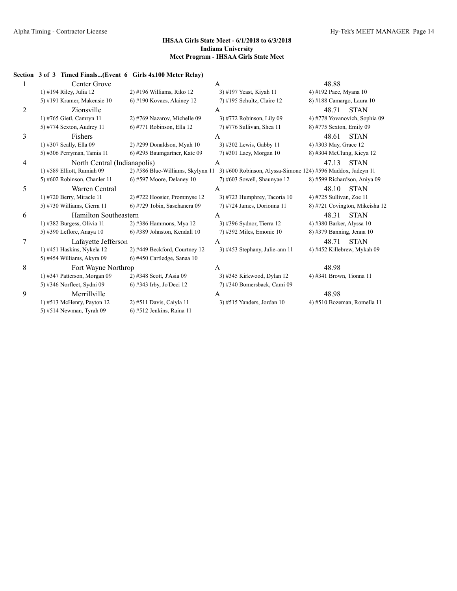#### **Section 3 of 3 Timed Finals...(Event 6 Girls 4x100 Meter Relay)**

|   | Center Grove                 |                                 | A                                                                                             | 48.88                          |
|---|------------------------------|---------------------------------|-----------------------------------------------------------------------------------------------|--------------------------------|
|   | 1) #194 Riley, Julia 12      | 2) #196 Williams, Riko 12       | 3) #197 Yeast, Kiyah 11                                                                       | 4) #192 Pace, Myana 10         |
|   | 5) #191 Kramer, Makensie 10  | $6$ ) #190 Kovacs, Alainey 12   | 7) #195 Schultz, Claire 12                                                                    | 8) #188 Camargo, Laura 10      |
| 2 | Zionsville                   |                                 | A                                                                                             | 48.71<br><b>STAN</b>           |
|   | 1) #765 Gietl, Camryn 11     | 2) #769 Nazarov, Michelle 09    | 3) #772 Robinson, Lily 09                                                                     | 4) #778 Yovanovich, Sophia 09  |
|   | 5) #774 Sexton, Audrey 11    | 6) #771 Robinson, Ella 12       | 7) #776 Sullivan, Shea 11                                                                     | 8) #775 Sexton, Emily 09       |
| 3 | Fishers                      |                                 | A                                                                                             | 48.61<br><b>STAN</b>           |
|   | 1) #307 Scally, Ella 09      | $2)$ #299 Donaldson, Myah 10    | 3) #302 Lewis, Gabby 11                                                                       | 4) #303 May, Grace 12          |
|   | 5) #306 Perryman, Tamia 11   | 6) #295 Baumgartner, Kate 09    | 7) #301 Lacy, Morgan 10                                                                       | 8) #304 McClung, Kieya 12      |
| 4 | North Central (Indianapolis) |                                 | A                                                                                             | 47.13<br><b>STAN</b>           |
|   | 1) #589 Elliott, Ramiah 09   |                                 | 2) #586 Blue-Williams, Skylynn 11 3) #600 Robinson, Alyssa-Simone 124) #596 Maddox, Jadeyn 11 |                                |
|   | 5) #602 Robinson, Chanler 11 | $(6)$ #597 Moore, Delaney 10    | 7) #603 Sowell, Shaunyae 12                                                                   | 8) #599 Richardson, Aniya 09   |
| 5 | Warren Central               |                                 | $\mathbf{A}$                                                                                  | 48.10<br><b>STAN</b>           |
|   | 1) #720 Berry, Miracle 11    | $2)$ #722 Hoosier, Prommyse 12  | 3) #723 Humphrey, Tacoria 10                                                                  | 4) #725 Sullivan, Zoe 11       |
|   | 5) #730 Williams, Cierra 11  | 6) #729 Tobin, Saschanera 09    | 7) #724 James, Dorionna 11                                                                    | 8) #721 Covington, Mikeisha 12 |
| 6 | Hamilton Southeastern        |                                 | A                                                                                             | <b>STAN</b><br>48.31           |
|   | $1)$ #382 Burgess, Olivia 11 | 2) #386 Hammons, Mya 12         | 3) #396 Sydnor, Tierra 12                                                                     | 4) #380 Barker, Alyssa 10      |
|   | 5) #390 Leflore, Anaya 10    | $6$ ) #389 Johnston, Kendall 10 | 7) #392 Miles, Emonie 10                                                                      | 8) #379 Banning, Jenna 10      |
| 7 | Lafayette Jefferson          |                                 | A                                                                                             | 48.71<br><b>STAN</b>           |
|   | 1) #451 Haskins, Nykela 12   | 2) #449 Beckford, Courtney 12   | 3) #453 Stephany, Julie-ann 11                                                                | 4) #452 Killebrew, Mykah 09    |
|   | 5) #454 Williams, Akyra 09   | 6) #450 Cartledge, Sanaa 10     |                                                                                               |                                |
| 8 | Fort Wayne Northrop          |                                 | A                                                                                             | 48.98                          |
|   | 1) #347 Patterson, Morgan 09 | 2) #348 Scott, J'Asia 09        | 3) #345 Kirkwood, Dylan 12                                                                    | 4) #341 Brown, Tionna 11       |
|   | 5) #346 Norfleet, Sydni 09   | 6) #343 Irby, Jo'Deci 12        | 7) #340 Bomersback, Cami 09                                                                   |                                |
| 9 | Merrillville                 |                                 | A                                                                                             | 48.98                          |
|   | 1) #513 McHenry, Payton $12$ | 2) #511 Davis, Caiyla 11        | $3)$ #515 Yanders, Jordan 10                                                                  | 4) #510 Bozeman, Romella 11    |
|   | 5) #514 Newman, Tyrah 09     | 6) #512 Jenkins, Raina 11       |                                                                                               |                                |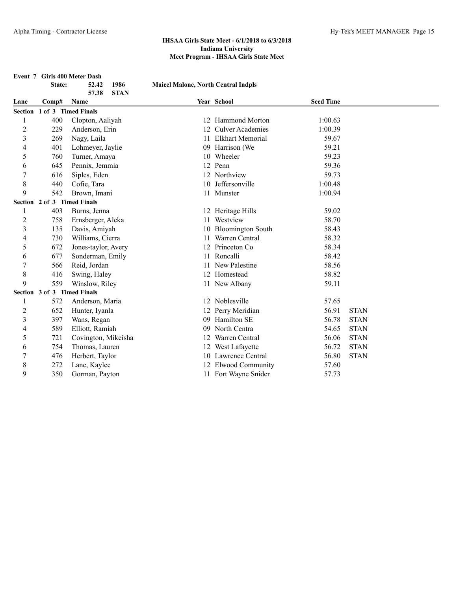| Event 7 Girls 400 Meter Dash |                             |                      |                                            |                          |                  |             |
|------------------------------|-----------------------------|----------------------|--------------------------------------------|--------------------------|------------------|-------------|
|                              | State:                      | 1986<br>52.42        | <b>Maicel Malone, North Central Indpls</b> |                          |                  |             |
|                              |                             | 57.38<br><b>STAN</b> |                                            |                          |                  |             |
| Lane                         | Comp#                       | Name                 |                                            | Year School              | <b>Seed Time</b> |             |
| <b>Section</b>               | 1 of 3 Timed Finals         |                      |                                            |                          |                  |             |
|                              | 400                         | Clopton, Aaliyah     |                                            | 12 Hammond Morton        | 1:00.63          |             |
| $\overline{2}$               | 229                         | Anderson, Erin       | 12                                         | <b>Culver Academies</b>  | 1:00.39          |             |
| 3                            | 269                         | Nagy, Laila          | 11                                         | <b>Elkhart Memorial</b>  | 59.67            |             |
| 4                            | 401                         | Lohmeyer, Jaylie     |                                            | 09 Harrison (We          | 59.21            |             |
| 5                            | 760                         | Turner, Amaya        |                                            | 10 Wheeler               | 59.23            |             |
| 6                            | 645                         | Pennix, Jemmia       |                                            | 12 Penn                  | 59.36            |             |
| 7                            | 616                         | Siples, Eden         |                                            | 12 Northview             | 59.73            |             |
| 8                            | 440                         | Cofie, Tara          |                                            | 10 Jeffersonville        | 1:00.48          |             |
| 9                            | 542                         | Brown, Imani         |                                            | 11 Munster               | 1:00.94          |             |
| <b>Section</b>               | 2 of 3 Timed Finals         |                      |                                            |                          |                  |             |
|                              | 403                         | Burns, Jenna         |                                            | 12 Heritage Hills        | 59.02            |             |
| $\overline{c}$               | 758                         | Ernsberger, Aleka    | 11                                         | Westview                 | 58.70            |             |
| 3                            | 135                         | Davis, Amiyah        | 10                                         | <b>Bloomington South</b> | 58.43            |             |
| 4                            | 730                         | Williams, Cierra     | 11                                         | Warren Central           | 58.32            |             |
| 5                            | 672                         | Jones-taylor, Avery  | 12                                         | Princeton Co             | 58.34            |             |
| 6                            | 677                         | Sonderman, Emily     | 11                                         | Roncalli                 | 58.42            |             |
| $\overline{7}$               | 566                         | Reid, Jordan         | 11                                         | New Palestine            | 58.56            |             |
| $\,$ 8 $\,$                  | 416                         | Swing, Haley         |                                            | 12 Homestead             | 58.82            |             |
| 9                            | 559                         | Winslow, Riley       |                                            | 11 New Albany            | 59.11            |             |
|                              | Section 3 of 3 Timed Finals |                      |                                            |                          |                  |             |
| 1                            | 572                         | Anderson, Maria      |                                            | 12 Noblesville           | 57.65            |             |
| $\overline{c}$               | 652                         | Hunter, Iyanla       |                                            | 12 Perry Meridian        | 56.91            | <b>STAN</b> |
| 3                            | 397                         | Wans, Regan          | 09                                         | Hamilton SE              | 56.78            | <b>STAN</b> |
| 4                            | 589                         | Elliott, Ramiah      | 09                                         | North Centra             | 54.65            | <b>STAN</b> |
| 5                            | 721                         | Covington, Mikeisha  |                                            | 12 Warren Central        | 56.06            | <b>STAN</b> |
| 6                            | 754                         | Thomas, Lauren       |                                            | 12 West Lafayette        | 56.72            | <b>STAN</b> |
| 7                            | 476                         | Herbert, Taylor      |                                            | 10 Lawrence Central      | 56.80            | <b>STAN</b> |
| 8                            | 272                         | Lane, Kaylee         |                                            | 12 Elwood Community      | 57.60            |             |
| 9                            | 350                         | Gorman, Payton       |                                            | 11 Fort Wayne Snider     | 57.73            |             |
|                              |                             |                      |                                            |                          |                  |             |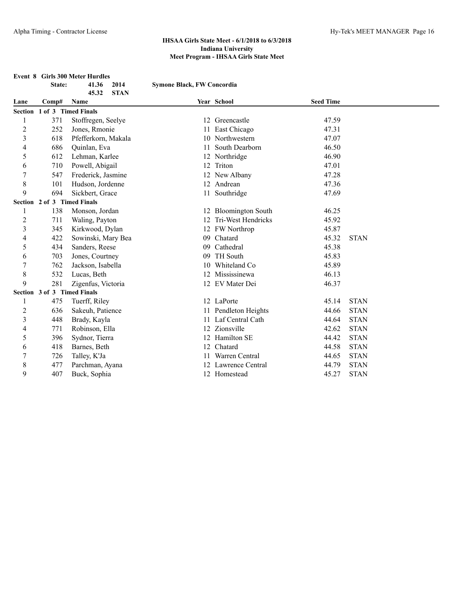# **Event 8 Girls 300 Meter Hurdles**<br>**State:** 41.36 2014

|                | State:                      | 41.36<br>2014<br>45.32<br><b>STAN</b> | <b>Symone Black, FW Concordia</b> |                       |                  |             |
|----------------|-----------------------------|---------------------------------------|-----------------------------------|-----------------------|------------------|-------------|
| Lane           | Comp#                       | Name                                  |                                   | Year School           | <b>Seed Time</b> |             |
| Section        | 1 of 3 Timed Finals         |                                       |                                   |                       |                  |             |
| 1              | 371                         | Stoffregen, Seelye                    |                                   | 12 Greencastle        | 47.59            |             |
| $\overline{2}$ | 252                         | Jones, Rmonie                         |                                   | 11 East Chicago       | 47.31            |             |
| 3              | 618                         | Pfefferkorn, Makala                   |                                   | 10 Northwestern       | 47.07            |             |
| 4              | 686                         | Quinlan, Eva                          |                                   | 11 South Dearborn     | 46.50            |             |
| 5              | 612                         | Lehman, Karlee                        |                                   | 12 Northridge         | 46.90            |             |
| 6              | 710                         | Powell, Abigail                       |                                   | 12 Triton             | 47.01            |             |
| 7              | 547                         | Frederick, Jasmine                    |                                   | 12 New Albany         | 47.28            |             |
| 8              | 101                         | Hudson, Jordenne                      |                                   | 12 Andrean            | 47.36            |             |
| 9              | 694                         | Sickbert, Grace                       |                                   | 11 Southridge         | 47.69            |             |
|                | Section 2 of 3 Timed Finals |                                       |                                   |                       |                  |             |
|                | 138                         | Monson, Jordan                        |                                   | 12 Bloomington South  | 46.25            |             |
| 2              | 711                         | Waling, Payton                        |                                   | 12 Tri-West Hendricks | 45.92            |             |
| 3              | 345                         | Kirkwood, Dylan                       |                                   | 12 FW Northrop        | 45.87            |             |
| 4              | 422                         | Sowinski, Mary Bea                    | 09                                | Chatard               | 45.32            | <b>STAN</b> |
| 5              | 434                         | Sanders, Reese                        | 09                                | Cathedral             | 45.38            |             |
| 6              | 703                         | Jones, Courtney                       | 09                                | TH South              | 45.83            |             |
| 7              | 762                         | Jackson, Isabella                     | 10                                | Whiteland Co          | 45.89            |             |
| 8              | 532                         | Lucas, Beth                           |                                   | 12 Mississinewa       | 46.13            |             |
| 9              | 281                         | Zigenfus, Victoria                    |                                   | 12 EV Mater Dei       | 46.37            |             |
|                | Section 3 of 3 Timed Finals |                                       |                                   |                       |                  |             |
| 1              | 475                         | Tuerff, Riley                         |                                   | 12 LaPorte            | 45.14            | <b>STAN</b> |
| 2              | 636                         | Sakeuh, Patience                      |                                   | 11 Pendleton Heights  | 44.66            | <b>STAN</b> |
| 3              | 448                         | Brady, Kayla                          |                                   | 11 Laf Central Cath   | 44.64            | <b>STAN</b> |
| 4              | 771                         | Robinson, Ella                        |                                   | 12 Zionsville         | 42.62            | <b>STAN</b> |
| 5              | 396                         | Sydnor, Tierra                        |                                   | 12 Hamilton SE        | 44.42            | <b>STAN</b> |
| 6              | 418                         | Barnes, Beth                          | 12                                | Chatard               | 44.58            | <b>STAN</b> |
|                | 726                         | Talley, K'Ja                          |                                   | 11 Warren Central     | 44.65            | <b>STAN</b> |
| 8              | 477                         | Parchman, Ayana                       |                                   | 12 Lawrence Central   | 44.79            | <b>STAN</b> |
| 9              | 407                         | Buck, Sophia                          |                                   | 12 Homestead          | 45.27            | <b>STAN</b> |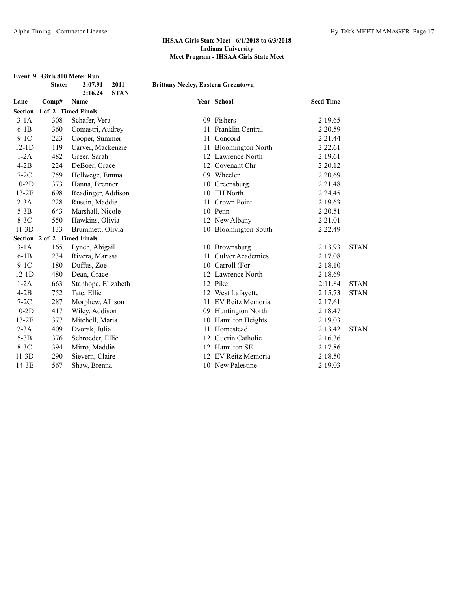|         |                             | Event 9 Girls 800 Meter Run |                                           |                          |                  |             |
|---------|-----------------------------|-----------------------------|-------------------------------------------|--------------------------|------------------|-------------|
|         | State:                      | 2:07.91<br>2011             | <b>Brittany Neeley, Eastern Greentown</b> |                          |                  |             |
|         |                             | <b>STAN</b><br>2:16.24      |                                           |                          |                  |             |
| Lane    | Comp#                       | Name                        |                                           | Year School              | <b>Seed Time</b> |             |
|         | Section 1 of 2 Timed Finals |                             |                                           |                          |                  |             |
| $3-1A$  | 308                         | Schafer, Vera               |                                           | 09 Fishers               | 2:19.65          |             |
| $6-1B$  | 360                         | Comastri, Audrey            | 11                                        | Franklin Central         | 2:20.59          |             |
| $9-1C$  | 223                         | Cooper, Summer              | 11                                        | Concord                  | 2:21.44          |             |
| $12-1D$ | 119                         | Carver, Mackenzie           | 11                                        | <b>Bloomington North</b> | 2:22.61          |             |
| $1-2A$  | 482                         | Greer, Sarah                |                                           | 12 Lawrence North        | 2:19.61          |             |
| $4-2B$  | 224                         | DeBoer, Grace               |                                           | 12 Covenant Chr          | 2:20.12          |             |
| $7-2C$  | 759                         | Hellwege, Emma              |                                           | 09 Wheeler               | 2:20.69          |             |
| $10-2D$ | 373                         | Hanna, Brenner              |                                           | 10 Greensburg            | 2:21.48          |             |
| $13-2E$ | 698                         | Readinger, Addison          |                                           | 10 TH North              | 2:24.45          |             |
| $2-3A$  | 228                         | Russin, Maddie              | 11                                        | Crown Point              | 2:19.63          |             |
| $5-3B$  | 643                         | Marshall, Nicole            |                                           | 10 Penn                  | 2:20.51          |             |
| $8-3C$  | 550                         | Hawkins, Olivia             |                                           | 12 New Albany            | 2:21.01          |             |
| $11-3D$ | 133                         | Brummett, Olivia            |                                           | 10 Bloomington South     | 2:22.49          |             |
|         | Section 2 of 2 Timed Finals |                             |                                           |                          |                  |             |
| $3-1A$  | 165                         | Lynch, Abigail              |                                           | 10 Brownsburg            | 2:13.93          | <b>STAN</b> |
| $6-1B$  | 234                         | Rivera, Marissa             | 11.                                       | <b>Culver Academies</b>  | 2:17.08          |             |
| $9-1C$  | 180                         | Duffus, Zoe                 |                                           | 10 Carroll (For          | 2:18.10          |             |
| $12-1D$ | 480                         | Dean, Grace                 |                                           | 12 Lawrence North        | 2:18.69          |             |
| $1-2A$  | 663                         | Stanhope, Elizabeth         |                                           | 12 Pike                  | 2:11.84          | <b>STAN</b> |
| $4-2B$  | 752                         | Tate, Ellie                 |                                           | 12 West Lafayette        | 2:15.73          | <b>STAN</b> |
| $7-2C$  | 287                         | Morphew, Allison            | 11                                        | EV Reitz Memoria         | 2:17.61          |             |
| $10-2D$ | 417                         | Wiley, Addison              |                                           | 09 Huntington North      | 2:18.47          |             |
| $13-2E$ | 377                         | Mitchell, Maria             |                                           | 10 Hamilton Heights      | 2:19.03          |             |
| $2-3A$  | 409                         | Dvorak, Julia               | 11                                        | Homestead                | 2:13.42          | <b>STAN</b> |
| $5-3B$  | 376                         | Schroeder, Ellie            |                                           | Guerin Catholic          | 2:16.36          |             |
| $8-3C$  | 394                         | Mirro, Maddie               |                                           | 12 Hamilton SE           | 2:17.86          |             |
| $11-3D$ | 290                         | Sievern, Claire             | 12                                        | EV Reitz Memoria         | 2:18.50          |             |
| $14-3E$ | 567                         | Shaw, Brenna                |                                           | 10 New Palestine         | 2:19.03          |             |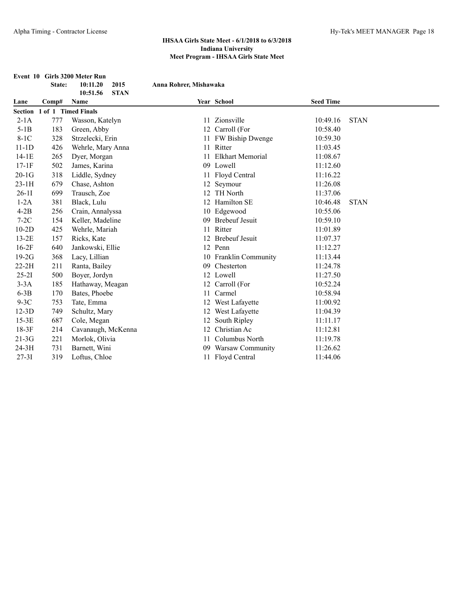|           | State: | Event 10 Girls 3200 Meter Run<br>2015<br>10:11.20 | Anna Rohrer, Mishawaka |                         |                  |             |
|-----------|--------|---------------------------------------------------|------------------------|-------------------------|------------------|-------------|
|           |        | <b>STAN</b><br>10:51.56                           |                        |                         |                  |             |
| Lane      | Comp#  | Name                                              |                        | Year School             | <b>Seed Time</b> |             |
|           |        | Section 1 of 1 Timed Finals                       |                        |                         |                  |             |
| $2-1A$    | 777    | Wasson, Katelyn                                   |                        | 11 Zionsville           | 10:49.16         | <b>STAN</b> |
| $5-1B$    | 183    | Green, Abby                                       |                        | 12 Carroll (For         | 10:58.40         |             |
| $8-1C$    | 328    | Strzelecki, Erin                                  |                        | 11 FW Biship Dwenge     | 10:59.30         |             |
| $11-1D$   | 426    | Wehrle, Mary Anna                                 |                        | 11 Ritter               | 11:03.45         |             |
| $14-1E$   | 265    | Dyer, Morgan                                      | 11                     | <b>Elkhart Memorial</b> | 11:08.67         |             |
| $17-1F$   | 502    | James, Karina                                     |                        | 09 Lowell               | 11:12.60         |             |
| $20-1G$   | 318    | Liddle, Sydney                                    |                        | 11 Floyd Central        | 11:16.22         |             |
| $23-1H$   | 679    | Chase, Ashton                                     |                        | 12 Seymour              | 11:26.08         |             |
| $26-11$   | 699    | Trausch, Zoe                                      |                        | 12 TH North             | 11:37.06         |             |
| $1-2A$    | 381    | Black, Lulu                                       |                        | 12 Hamilton SE          | 10:46.48         | <b>STAN</b> |
| $4-2B$    | 256    | Crain, Annalyssa                                  |                        | 10 Edgewood             | 10:55.06         |             |
| $7-2C$    | 154    | Keller, Madeline                                  | 09                     | <b>Brebeuf Jesuit</b>   | 10:59.10         |             |
| $10-2D$   | 425    | Wehrle, Mariah                                    | 11                     | Ritter                  | 11:01.89         |             |
| $13-2E$   | 157    | Ricks, Kate                                       |                        | 12 Brebeuf Jesuit       | 11:07.37         |             |
| $16-2F$   | 640    | Jankowski, Ellie                                  |                        | 12 Penn                 | 11:12.27         |             |
| $19-2G$   | 368    | Lacy, Lillian                                     |                        | 10 Franklin Community   | 11:13.44         |             |
| $22-2H$   | 211    | Ranta, Bailey                                     | 09                     | Chesterton              | 11:24.78         |             |
| $25-21$   | 500    | Boyer, Jordyn                                     |                        | 12 Lowell               | 11:27.50         |             |
| $3-3A$    | 185    | Hathaway, Meagan                                  |                        | 12 Carroll (For         | 10:52.24         |             |
| $6-3B$    | 170    | Bates, Phoebe                                     |                        | 11 Carmel               | 10:58.94         |             |
| $9-3C$    | 753    | Tate, Emma                                        |                        | 12 West Lafayette       | 11:00.92         |             |
| $12-3D$   | 749    | Schultz, Mary                                     |                        | 12 West Lafayette       | 11:04.39         |             |
| $15-3E$   | 687    | Cole, Megan                                       |                        | 12 South Ripley         | 11:11.17         |             |
| $18-3F$   | 214    | Cavanaugh, McKenna                                | 12                     | Christian Ac            | 11:12.81         |             |
| $21-3G$   | 221    | Morlok, Olivia                                    | 11                     | Columbus North          | 11:19.78         |             |
| 24-3H     | 731    | Barnett, Wini                                     | 09                     | Warsaw Community        | 11:26.62         |             |
| $27 - 31$ | 319    | Loftus, Chloe                                     |                        | 11 Floyd Central        | 11:44.06         |             |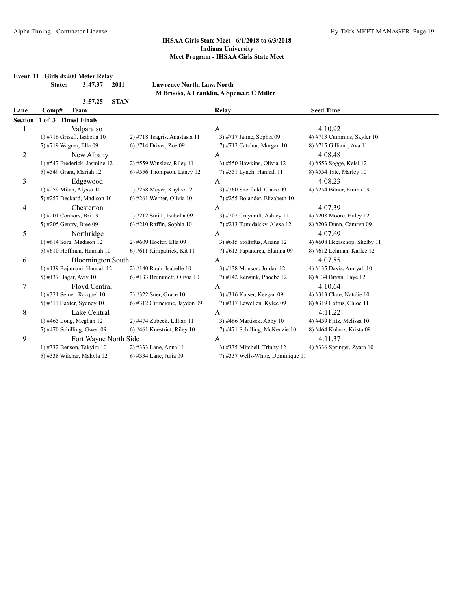**Event 11 Girls 4x400 Meter Relay**

**State: 3:47.37 2011 Lawrence North, Law. North M Brooks, A Franklin, A Spencer, C Miller**

|                | <b>STAN</b><br>3:57.25        |                                |                                   |                              |
|----------------|-------------------------------|--------------------------------|-----------------------------------|------------------------------|
| Lane           | <b>Team</b><br>Comp#          |                                | Relay                             | <b>Seed Time</b>             |
| <b>Section</b> | 1 of 3 Timed Finals           |                                |                                   |                              |
|                | Valparaiso                    |                                | A                                 | 4:10.92                      |
|                | 1) #716 Grisafi, Isabella 10  | 2) #718 Tsagris, Anastasia 11  | 3) #717 Jaime, Sophia 09          | 4) #713 Cummins, Skyler $10$ |
|                | 5) #719 Wagner, Ella 09       | 6) #714 Driver, Zoe 09         | 7) #712 Catchur, Morgan 10        | 8) #715 Gilliana, Ava 11     |
| 2              | New Albany                    |                                | A                                 | 4:08.48                      |
|                | 1) #547 Frederick, Jasmine 12 | 2) #559 Winslow, Riley 11      | 3) #550 Hawkins, Olivia 12        | 4) #553 Sogge, Kelsi 12      |
|                | 5) #549 Grant, Mariah 12      | $6$ ) #556 Thompson, Laney 12  | 7) #551 Lynch, Hannah 11          | 8) #554 Tate, Marley 10      |
| 3              | Edgewood                      |                                | A                                 | 4:08.23                      |
|                | 1) #259 Milah, Alyssa 11      | 2) #258 Meyer, Kaylee 12       | 3) #260 Sherfield, Claire 09      | 4) #254 Bitner, Emma 09      |
|                | 5) #257 Deckard, Madison 10   | 6) #261 Werner, Olivia 10      | 7) #255 Bolander, Elizabeth 10    |                              |
| 4              | Chesterton                    |                                | $\overline{A}$                    | 4:07.39                      |
|                | 1) #201 Connors, Bri 09       | $2)$ #212 Smith, Isabella 09   | 3) #202 Craycraft, Ashley 11      | 4) #208 Moore, Haley 12      |
|                | 5) #205 Gentry, Bree 09       | 6) #210 Raffin, Sophia 10      | 7) #213 Tumidalsky, Alexa 12      | 8) #203 Dunn, Camryn 09      |
| 5              | Northridge                    |                                | A                                 | 4:07.69                      |
|                | 1) #614 Sorg, Madison 12      | 2) #609 Hoefer, Ella 09        | 3) #615 Stoltzfus, Ariana 12      | 4) #608 Heerschop, Shelby 11 |
|                | 5) #610 Hoffman, Hannah 10    | 6) #611 Kirkpatrick, Kit 11    | 7) #613 Papandrea, Elainna 09     | 8) #612 Lehman, Karlee 12    |
| 6              | <b>Bloomington South</b>      |                                | А                                 | 4:07.85                      |
|                | 1) #139 Rajamani, Hannah 12   | $2)$ #140 Rauh, Isabelle 10    | 3) #138 Monson, Jordan 12         | 4) #135 Davis, Amiyah 10     |
|                | 5) #137 Hagar, Aviv 10        | $6$ ) #133 Brummett, Olivia 10 | 7) #142 Rensink, Phoebe $12$      | 8) #134 Bryan, Faye 12       |
| 7              | Floyd Central                 |                                | $\mathbf{A}$                      | 4:10.64                      |
|                | 1) #321 Semer, Racquel 10     | 2) #322 Suer, Grace 10         | 3) #316 Kaiser, Keegan 09         | 4) #313 Clare, Natalie 10    |
|                | 5) #311 Baxter, Sydney $10$   | 6) #312 Cirincione, Jaydon 09  | $7)$ #317 Lewellen, Kylee 09      | 8) #319 Loftus, Chloe 11     |
| 8              | Lake Central                  |                                | A                                 | 4:11.22                      |
|                | 1) #465 Long, Meghan 12       | 2) #474 Zubeck, Lillian 11     | 3) #466 Martisek, Abby 10         | 4) #459 Fritz, Melissa 10    |
|                | 5) #470 Schilling, Gwen $09$  | $6$ ) #461 Knestrict, Riley 10 | 7) #471 Schilling, McKenzie 10    | 8) #464 Kulacz, Krista 09    |
| 9              | Fort Wayne North Side         |                                | A                                 | 4:11.37                      |
|                | 1) #332 Benson, Takyira 10    | 2) #333 Lane, Anna 11          | 3) #335 Mitchell, Trinity 12      | 4) #336 Springer, Zyara $10$ |
|                | 5) #338 Wilchar, Makyla 12    | 6) #334 Lane, Julia 09         | 7) #337 Wells-White, Dominique 11 |                              |
|                |                               |                                |                                   |                              |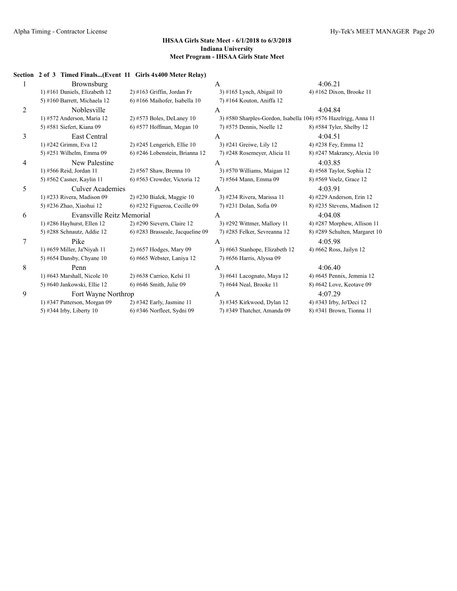# **Section 2 of 3 Timed Finals...(Event 11 Girls 4x400 Meter Relay)** 1 Brownsburg **A** 4:06.21 1) #161 Daniels, Elizabeth 12 2) #163 Griffin, Jordan Fr 3) #165 Lynch, Abigail 10 4) #162 Dixon, Brooke 11 5) #160 Barrett, Michaela 12 6) #166 Maihofer, Isabella 10 7) #164 Kouton, Aniffa 12 2 Noblesville A 4:04.84 1) #572 Anderson, Maria 12 2) #573 Boles, DeLaney 10 3) #580 Sharples-Gordon, Isabella 104) #576 Hazelrigg, Anna 11 5) #581 Siefert, Kiana 09 6) #577 Hoffman, Megan 10 7) #575 Dennis, Noelle 12 8) #584 Tyler, Shelby 12 3 East Central A 4:04.51 1) #242 Grimm, Eva 12 2) #245 Lengerich, Ellie 10 3) #241 Greiwe, Lily 12 4) #238 Fey, Emma 12 5) #251 Wilhelm, Emma 09 6) #246 Lobenstein, Brianna 12 7) #248 Rosemeyer, Alicia 11 8) #247 Makrancy, Alexia 10 4 New Palestine A 4:03.85 1) #566 Reid, Jordan 11 2) #567 Shaw, Brenna 10 3) #570 Williams, Maigan 12 4) #568 Taylor, Sophia 12 5) #562 Casner, Kaylin 11 6) #563 Crowder, Victoria 12 7) #564 Mann, Emma 09 8) #569 Voelz, Grace 12 5 Culver Academies A 4:03.91 1) #233 Rivera, Madison 09 2) #230 Bialek, Maggie 10 3) #234 Rivera, Marissa 11 4) #229 Anderson, Erin 12 5) #236 Zhao, Xiaohui 12 6) #232 Figueroa, Cecille 09 7) #231 Dolan, Sofia 09 8) #235 Stevens, Madison 12 6 Evansville Reitz Memorial A 4:04.08 1) #286 Hayhurst, Ellen 12 2) #290 Sievern, Claire 12 3) #292 Wittmer, Mallory 11 4) #287 Morphew, Allison 11 5) #288 Schnautz, Addie 12 6) #283 Brasseale, Jacqueline 09 7) #285 Felker, Sevreanna 12 8) #289 Schulten, Margaret 10 7 Pike A 4:05.98 1) #659 Miller, Ja'Niyah 11 2) #657 Hodges, Mary 09 3) #663 Stanhope, Elizabeth 12 4) #662 Ross, Jailyn 12 5) #654 Dansby, Chyane 10 6) #665 Webster, Laniya 12 7) #656 Harris, Alyssa 09 8 **Penn** A 4:06.40 1) #643 Marshall, Nicole 10 2) #638 Carrico, Kelsi 11 3) #641 Lacognato, Maya 12 4) #645 Pennix, Jemmia 12 5) #640 Jankowski, Ellie 12 6) #646 Smith, Julie 09 7) #644 Neal, Brooke 11 8) #642 Love, Keotave 09 9 Fort Wayne Northrop A 4:07.29 1) #347 Patterson, Morgan 09 2) #342 Early, Jasmine 11 3) #345 Kirkwood, Dylan 12 4) #343 Irby, Jo'Deci 12 5) #344 Irby, Liberty 10 6) #346 Norfleet, Sydni 09 7) #349 Thatcher, Amanda 09 8) #341 Brown, Tionna 11